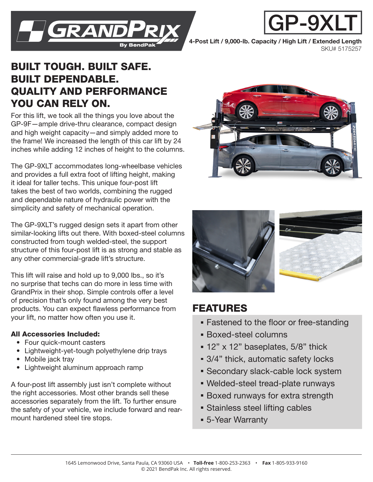

4-Post Lift / 9,000-lb. Capacity / High Lift / Extended Length SKU# 5175257

P-9X

## BUILT TOUGH. BUILT SAFE. BUILT DEPENDABLE. QUALITY AND PERFORMANCE YOU CAN RELY ON.

For this lift, we took all the things you love about the GP-9F—ample drive-thru clearance, compact design and high weight capacity—and simply added more to the frame! We increased the length of this car lift by 24 inches while adding 12 inches of height to the columns.

The GP-9XLT accommodates long-wheelbase vehicles and provides a full extra foot of lifting height, making it ideal for taller techs. This unique four-post lift takes the best of two worlds, combining the rugged and dependable nature of hydraulic power with the simplicity and safety of mechanical operation.

The GP-9XLT's rugged design sets it apart from other similar-looking lifts out there. With boxed-steel columns constructed from tough welded-steel, the support structure of this four-post lift is as strong and stable as any other commercial-grade lift's structure.

This lift will raise and hold up to 9,000 lbs., so it's no surprise that techs can do more in less time with GrandPrix in their shop. Simple controls offer a level of precision that's only found among the very best products. You can expect flawless performance from your lift, no matter how often you use it.

## All Accessories Included:

- Four quick-mount casters
- Lightweight-yet-tough polyethylene drip trays
- Mobile jack tray
- Lightweight aluminum approach ramp

A four-post lift assembly just isn't complete without the right accessories. Most other brands sell these accessories separately from the lift. To further ensure the safety of your vehicle, we include forward and rearmount hardened steel tire stops.





## FEATURES

- **Fastened to the floor or free-standing**
- Boxed-steel columns
- **12" x 12" baseplates, 5/8" thick**
- 3/4" thick, automatic safety locks
- **Secondary slack-cable lock system**
- Welded-steel tread-plate runways
- **Boxed runways for extra strength**
- **Stainless steel lifting cables**
- 5-Year Warranty